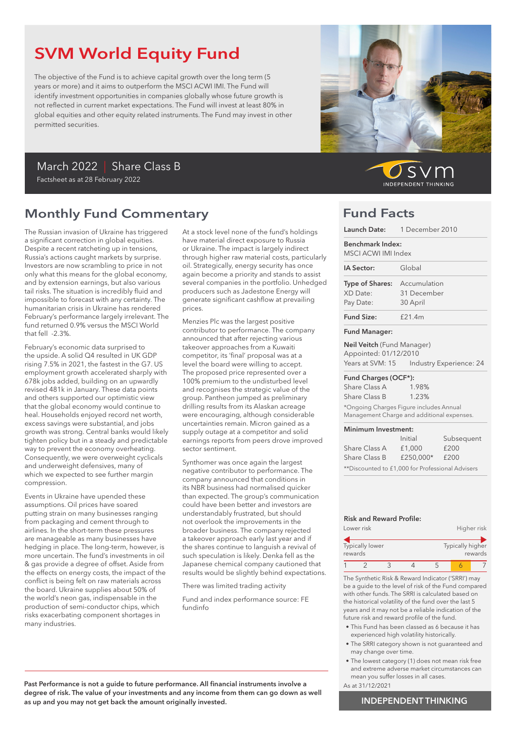## SVM World Equity Fund

The objective of the Fund is to achieve capital growth over the long term (5 years or more) and it aims to outperform the MSCI ACWI IMI. The Fund will identify investment opportunities in companies globally whose future growth is not reflected in current market expectations. The Fund will invest at least 80% in global equities and other equity related instruments. The Fund may invest in other permitted securities.

## March 2022 | Share Class B

Factsheet as at 28 February 2022

## Monthly Fund Commentary

The Russian invasion of Ukraine has triggered a significant correction in global equities. Despite a recent ratcheting up in tensions, Russia's actions caught markets by surprise. Investors are now scrambling to price in not only what this means for the global economy, and by extension earnings, but also various tail risks. The situation is incredibly fluid and impossible to forecast with any certainty. The humanitarian crisis in Ukraine has rendered February's performance largely irrelevant. The fund returned 0.9% versus the MSCI World that fell -2.3%.

February's economic data surprised to the upside. A solid Q4 resulted in UK GDP rising 7.5% in 2021, the fastest in the G7. US employment growth accelerated sharply with 678k jobs added, building on an upwardly revised 481k in January. These data points and others supported our optimistic view that the global economy would continue to heal. Households enjoyed record net worth, excess savings were substantial, and jobs growth was strong. Central banks would likely tighten policy but in a steady and predictable way to prevent the economy overheating. Consequently, we were overweight cyclicals and underweight defensives, many of which we expected to see further margin compression.

Events in Ukraine have upended these assumptions. Oil prices have soared putting strain on many businesses ranging from packaging and cement through to airlines. In the short-term these pressures are manageable as many businesses have hedging in place. The long-term, however, is more uncertain. The fund's investments in oil & gas provide a degree of offset. Aside from the effects on energy costs, the impact of the conflict is being felt on raw materials across the board. Ukraine supplies about 50% of the world's neon gas, indispensable in the production of semi-conductor chips, which risks exacerbating component shortages in many industries.

At a stock level none of the fund's holdings have material direct exposure to Russia or Ukraine. The impact is largely indirect through higher raw material costs, particularly oil. Strategically, energy security has once again become a priority and stands to assist several companies in the portfolio. Unhedged producers such as Jadestone Energy will denerate significant cashflow at prevailing prices.

Menzies Plc was the largest positive contributor to performance. The company announced that after rejecting various takeover approaches from a Kuwaiti competitor, its 'final' proposal was at a level the board were willing to accept. The proposed price represented over a 100% premium to the undisturbed level and recognises the strategic value of the group. Pantheon jumped as preliminary drilling results from its Alaskan acreage were encouraging, although considerable uncertainties remain. Micron gained as a supply outage at a competitor and solid earnings reports from peers drove improved sector sentiment.

Synthomer was once again the largest negative contributor to performance. The company announced that conditions in its NBR business had normalised quicker than expected. The group's communication could have been better and investors are understandably frustrated, but should not overlook the improvements in the broader business. The company rejected a takeover approach early last year and if the shares continue to languish a revival of such speculation is likely. Denka fell as the Japanese chemical company cautioned that results would be slightly behind expectations.

There was limited trading activity

Fund and index performance source: FE fundinfo



SVr **INDEPENDENT THINKING** 

### Fund Facts

| Launch Date:                                                                          | 1 December 2010         |  |  |
|---------------------------------------------------------------------------------------|-------------------------|--|--|
| Benchmark Index:<br>MSCI ACWI IMI Index                                               |                         |  |  |
| IA Sector:                                                                            | Global                  |  |  |
| <b>Type of Shares:</b>                                                                | Accumulation            |  |  |
| XD Date:                                                                              | 31 December             |  |  |
| Pay Date:                                                                             | 30 April                |  |  |
| <b>Fund Size:</b>                                                                     | $f$ 21.4m               |  |  |
| <b>Fund Manager:</b>                                                                  |                         |  |  |
| Neil Veitch (Fund Manager)<br>Appointed: 01/12/2010                                   |                         |  |  |
| Years at SVM: 15                                                                      | Industry Experience: 24 |  |  |
| Fund Charges (OCF*):                                                                  |                         |  |  |
| Share Class A                                                                         | 1.98%                   |  |  |
| Share Class B                                                                         | 1.23%                   |  |  |
| *Ongoing Charges Figure includes Annual<br>Management Charge and additional expenses. |                         |  |  |
| Minimum Investment:                                                                   |                         |  |  |
|                                                                                       | Initial<br>Subsequent   |  |  |
| Share Class A                                                                         | £200<br>£1,000          |  |  |
| Share Class B                                                                         | £250,000*<br>£200       |  |  |

### Risk and Reward Profile:

|         | Lower risk      |  |                  | Higher risk |
|---------|-----------------|--|------------------|-------------|
| rewards | Typically lower |  | Typically higher | rewards     |
|         |                 |  |                  |             |

\*\*Discounted to £1,000 for Professional Advisers

The Synthetic Risk & Reward Indicator ('SRRI') may be a guide to the level of risk of the Fund compared with other funds. The SRRI is calculated based on the historical volatility of the fund over the last 5 years and it may not be a reliable indication of the future risk and reward profile of the fund.

- This Fund has been classed as 6 because it has experienced high volatility historically.
- The SRRI category shown is not guaranteed and may change over time.
- The lowest category (1) does not mean risk free and extreme adverse market circumstances can mean you suffer losses in all cases.
- As at 31/12/2021

Past Performance is not a guide to future performance. All financial instruments involve a degree of risk. The value of your investments and any income from them can go down as well as up and you may not get back the amount originally invested.

### INDEPENDENT THINKING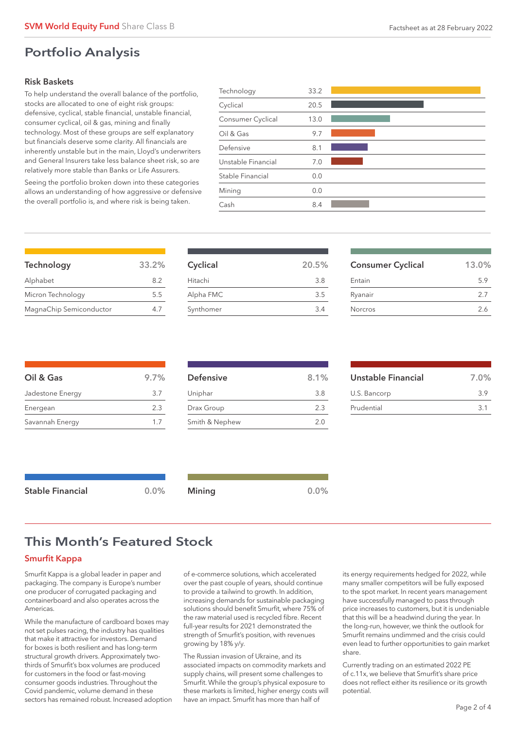### Portfolio Analysis

### Risk Baskets

To help understand the overall balance of the portfolio, stocks are allocated to one of eight risk groups: defensive, cyclical, stable financial, unstable financial, consumer cyclical, oil & gas, mining and finally technology. Most of these groups are self explanatory but financials deserve some clarity. All financials are inherently unstable but in the main, Lloyd's underwriters and General Insurers take less balance sheet risk, so are relatively more stable than Banks or Life Assurers.

Seeing the portfolio broken down into these categories allows an understanding of how aggressive or defensive the overall portfolio is, and where risk is being taken.

| Technology         | 33.2 |  |
|--------------------|------|--|
| Cyclical           | 20.5 |  |
| Consumer Cyclical  | 13.0 |  |
| Oil & Gas          | 9.7  |  |
| Defensive          | 8.1  |  |
| Unstable Financial | 7.0  |  |
| Stable Financial   | 0.0  |  |
| Mining             | 0.0  |  |
| Cash               | 8.4  |  |
|                    |      |  |

| Technology              | 33.2% |
|-------------------------|-------|
| Alphabet                | 8.2   |
| Micron Technology       | 5.5   |
| MagnaChip Semiconductor | 47    |

| Cyclical  | 20.5% |
|-----------|-------|
| Hitachi   | 3.8   |
| Alpha FMC | 3.5   |
| Synthomer | 3.4   |

| <b>Consumer Cyclical</b> | 13.0% |
|--------------------------|-------|
| Entain                   | 59    |
| Ryanair                  | 2.7   |
| <b>Norcros</b>           | 2.6   |

| Oil & Gas        | 9.7% |
|------------------|------|
| Jadestone Energy | 3.7  |
| Energean         | 2.3  |
| Savannah Energy  | 1/   |
|                  |      |

| <b>Defensive</b> | 8.1% |
|------------------|------|
| Uniphar          | 3.8  |
| Drax Group       | 2.3  |
| Smith & Nephew   | 2.0  |

| Unstable Financial | 7.0% |
|--------------------|------|
| U.S. Bancorp       | 39   |
| Prudential         | 31   |

| <b>Stable Financial</b> | 0.0% | Mining |  | 0.0% |
|-------------------------|------|--------|--|------|
|-------------------------|------|--------|--|------|

# This Month's Featured Stock

### Smurfit Kappa

Smurfit Kappa is a global leader in paper and packaging. The company is Europe's number one producer of corrugated packaging and containerboard and also operates across the Americas.

While the manufacture of cardboard boxes may not set pulses racing, the industry has qualities that make it attractive for investors. Demand for boxes is both resilient and has long-term structural growth drivers. Approximately twothirds of Smurfit's box volumes are produced for customers in the food or fast-moving consumer goods industries. Throughout the Covid pandemic, volume demand in these sectors has remained robust. Increased adoption of e-commerce solutions, which accelerated over the past couple of years, should continue to provide a tailwind to growth. In addition, increasing demands for sustainable packaging solutions should benefit Smurfit, where 75% of the raw material used is recycled fibre. Recent full-year results for 2021 demonstrated the strength of Smurfit's position, with revenues growing by 18% y/y.

The Russian invasion of Ukraine, and its associated impacts on commodity markets and supply chains, will present some challenges to Smurfit. While the group's physical exposure to these markets is limited, higher energy costs will have an impact. Smurfit has more than half of

its energy requirements hedged for 2022, while many smaller competitors will be fully exposed to the spot market. In recent years management have successfully managed to pass through price increases to customers, but it is undeniable that this will be a headwind during the year. In the long-run, however, we think the outlook for Smurfit remains undimmed and the crisis could even lead to further opportunities to gain market share.

Currently trading on an estimated 2022 PE of c.11x, we believe that Smurfit's share price does not reflect either its resilience or its growth potential.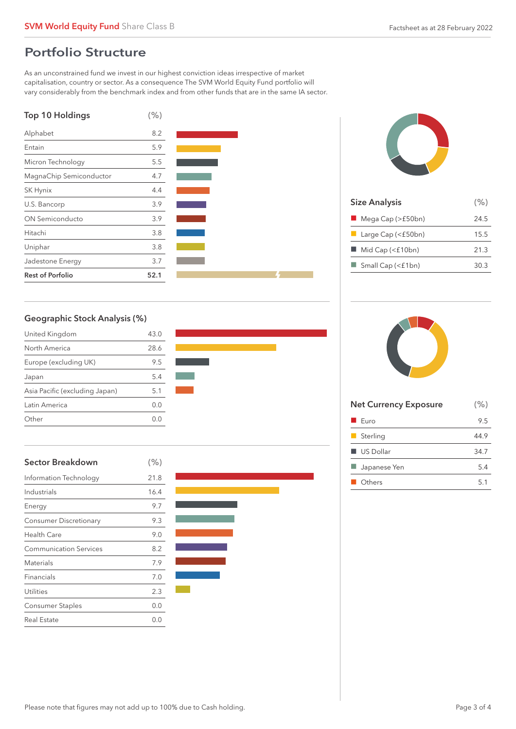### Portfolio Structure

As an unconstrained fund we invest in our highest conviction ideas irrespective of market capitalisation, country or sector. As a consequence The SVM World Equity Fund portfolio will vary considerably from the benchmark index and from other funds that are in the same IA sector.







| <b>Size Analysis</b>             | (% ) |
|----------------------------------|------|
| Mega Cap (>£50bn)                | 24.5 |
| $\Box$ Large Cap (<£50bn)        | 15.5 |
| Mid Cap (<£10bn)                 | 21.3 |
| $\blacksquare$ Small Cap (<£1bn) | 30.3 |
|                                  |      |

### Geographic Stock Analysis (%)

| United Kingdom                 | 43.0  |
|--------------------------------|-------|
| North America                  | 28.6  |
| Europe (excluding UK)          | 9.5   |
| Japan                          | 5.4   |
| Asia Pacific (excluding Japan) | 5.1   |
| Latin America                  | O.O   |
| Other                          | () () |







| <b>Net Currency Exposure</b> | (% ) |
|------------------------------|------|
| Furo                         | 9.5  |
| Sterling                     | 44.9 |
| $\blacksquare$ US Dollar     | 34.7 |
| Japanese Yen                 | 5.4  |
| Others                       | 5.1  |
|                              |      |